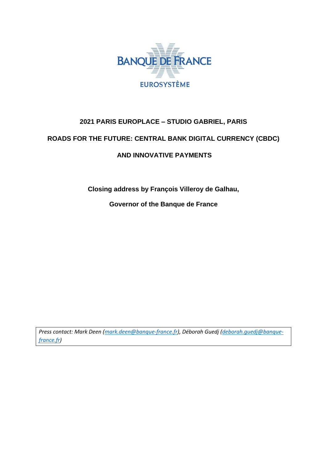

### **2021 PARIS EUROPLACE – STUDIO GABRIEL, PARIS**

### **ROADS FOR THE FUTURE: CENTRAL BANK DIGITAL CURRENCY (CBDC)**

#### **AND INNOVATIVE PAYMENTS**

**Closing address by François Villeroy de Galhau,**

**Governor of the Banque de France**

*Press contact: Mark Deen [\(mark.deen@banque-france.fr\)](mailto:mark.deen@banque-france.fr), Déborah Guedj [\(deborah.guedj@banque](mailto:deborah.guedj@banque-france.fr)[france.fr\)](mailto:deborah.guedj@banque-france.fr)*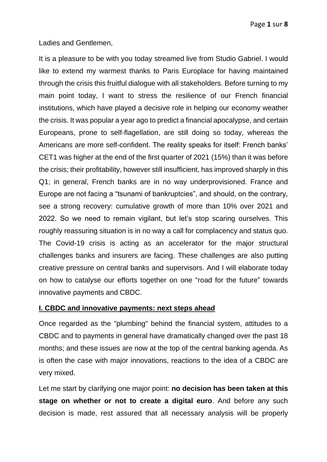Ladies and Gentlemen,

It is a pleasure to be with you today streamed live from Studio Gabriel. I would like to extend my warmest thanks to Paris Europlace for having maintained through the crisis this fruitful dialogue with all stakeholders. Before turning to my main point today, I want to stress the resilience of our French financial institutions, which have played a decisive role in helping our economy weather the crisis. It was popular a year ago to predict a financial apocalypse, and certain Europeans, prone to self-flagellation, are still doing so today, whereas the Americans are more self-confident. The reality speaks for itself: French banks' CET1 was higher at the end of the first quarter of 2021 (15%) than it was before the crisis; their profitability, however still insufficient, has improved sharply in this Q1; in general, French banks are in no way underprovisioned. France and Europe are not facing a "tsunami of bankruptcies", and should, on the contrary, see a strong recovery: cumulative growth of more than 10% over 2021 and 2022. So we need to remain vigilant, but let's stop scaring ourselves. This roughly reassuring situation is in no way a call for complacency and status quo. The Covid-19 crisis is acting as an accelerator for the major structural challenges banks and insurers are facing. These challenges are also putting creative pressure on central banks and supervisors. And I will elaborate today on how to catalyse our efforts together on one "road for the future" towards innovative payments and CBDC.

### **I. CBDC and innovative payments: next steps ahead**

Once regarded as the "plumbing" behind the financial system, attitudes to a CBDC and to payments in general have dramatically changed over the past 18 months; and these issues are now at the top of the central banking agenda. As is often the case with major innovations, reactions to the idea of a CBDC are very mixed.

Let me start by clarifying one major point: **no decision has been taken at this stage on whether or not to create a digital euro**. And before any such decision is made, rest assured that all necessary analysis will be properly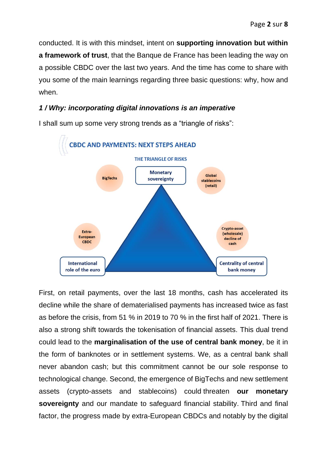conducted. It is with this mindset, intent on **supporting innovation but within a framework of trust**, that the Banque de France has been leading the way on a possible CBDC over the last two years. And the time has come to share with you some of the main learnings regarding three basic questions: why, how and when.

## *1 / Why: incorporating digital innovations is an imperative*



I shall sum up some very strong trends as a "triangle of risks":

First, on retail payments, over the last 18 months, cash has accelerated its decline while the share of dematerialised payments has increased twice as fast as before the crisis, from 51 % in 2019 to 70 % in the first half of 2021. There is also a strong shift towards the tokenisation of financial assets. This dual trend could lead to the **marginalisation of the use of central bank money**, be it in the form of banknotes or in settlement systems. We, as a central bank shall never abandon cash; but this commitment cannot be our sole response to technological change. Second, the emergence of BigTechs and new settlement assets (crypto-assets and stablecoins) could threaten **our monetary sovereignty** and our mandate to safeguard financial stability. Third and final factor, the progress made by extra-European CBDCs and notably by the digital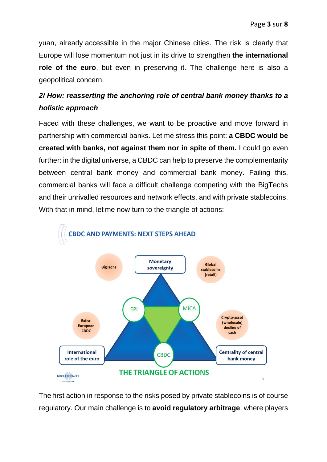yuan, already accessible in the major Chinese cities. The risk is clearly that Europe will lose momentum not just in its drive to strengthen **the international role of the euro**, but even in preserving it. The challenge here is also a geopolitical concern.

# *2/ How: reasserting the anchoring role of central bank money thanks to a holistic approach*

Faced with these challenges, we want to be proactive and move forward in partnership with commercial banks. Let me stress this point: **a CBDC would be created with banks, not against them nor in spite of them.** I could go even further: in the digital universe, a CBDC can help to preserve the complementarity between central bank money and commercial bank money. Failing this, commercial banks will face a difficult challenge competing with the BigTechs and their unrivalled resources and network effects, and with private stablecoins. With that in mind, let me now turn to the triangle of actions:



The first action in response to the risks posed by private stablecoins is of course regulatory. Our main challenge is to **avoid regulatory arbitrage**, where players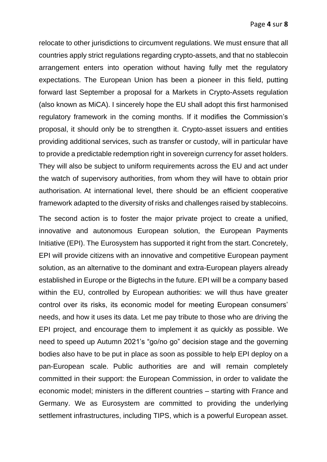relocate to other jurisdictions to circumvent regulations. We must ensure that all countries apply strict regulations regarding crypto-assets, and that no stablecoin arrangement enters into operation without having fully met the regulatory expectations. The European Union has been a pioneer in this field, putting forward last September a proposal for a Markets in Crypto-Assets regulation (also known as MiCA). I sincerely hope the EU shall adopt this first harmonised regulatory framework in the coming months. If it modifies the Commission's proposal, it should only be to strengthen it. Crypto-asset issuers and entities providing additional services, such as transfer or custody, will in particular have to provide a predictable redemption right in sovereign currency for asset holders. They will also be subject to uniform requirements across the EU and act under the watch of supervisory authorities, from whom they will have to obtain prior authorisation. At international level, there should be an efficient cooperative framework adapted to the diversity of risks and challenges raised by stablecoins.

The second action is to foster the major private project to create a unified, innovative and autonomous European solution, the European Payments Initiative (EPI). The Eurosystem has supported it right from the start. Concretely, EPI will provide citizens with an innovative and competitive European payment solution, as an alternative to the dominant and extra-European players already established in Europe or the Bigtechs in the future. EPI will be a company based within the EU, controlled by European authorities: we will thus have greater control over its risks, its economic model for meeting European consumers' needs, and how it uses its data. Let me pay tribute to those who are driving the EPI project, and encourage them to implement it as quickly as possible. We need to speed up Autumn 2021's "go/no go" decision stage and the governing bodies also have to be put in place as soon as possible to help EPI deploy on a pan-European scale. Public authorities are and will remain completely committed in their support: the European Commission, in order to validate the economic model; ministers in the different countries – starting with France and Germany. We as Eurosystem are committed to providing the underlying settlement infrastructures, including TIPS, which is a powerful European asset.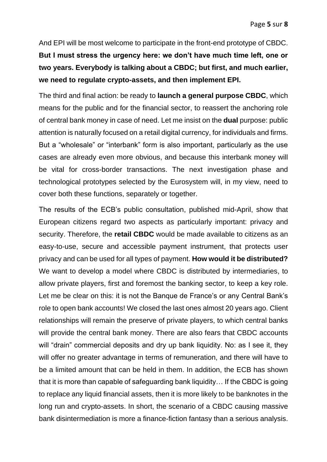And EPI will be most welcome to participate in the front-end prototype of CBDC. **But I must stress the urgency here: we don't have much time left, one or** 

**two years. Everybody is talking about a CBDC; but first, and much earlier, we need to regulate crypto-assets, and then implement EPI.**

The third and final action: be ready to **launch a general purpose CBDC**, which means for the public and for the financial sector, to reassert the anchoring role of central bank money in case of need. Let me insist on the **dual** purpose: public attention is naturally focused on a retail digital currency, for individuals and firms. But a "wholesale" or "interbank" form is also important, particularly as the use cases are already even more obvious, and because this interbank money will be vital for cross-border transactions. The next investigation phase and technological prototypes selected by the Eurosystem will, in my view, need to cover both these functions, separately or together.

The results of the ECB's public consultation, published mid-April, show that European citizens regard two aspects as particularly important: privacy and security. Therefore, the **retail CBDC** would be made available to citizens as an easy-to-use, secure and accessible payment instrument, that protects user privacy and can be used for all types of payment. **How would it be distributed?** We want to develop a model where CBDC is distributed by intermediaries, to allow private players, first and foremost the banking sector, to keep a key role. Let me be clear on this: it is not the Banque de France's or any Central Bank's role to open bank accounts! We closed the last ones almost 20 years ago. Client relationships will remain the preserve of private players, to which central banks will provide the central bank money. There are also fears that CBDC accounts will "drain" commercial deposits and dry up bank liquidity. No: as I see it, they will offer no greater advantage in terms of remuneration, and there will have to be a limited amount that can be held in them. In addition, the ECB has shown that it is more than capable of safeguarding bank liquidity… If the CBDC is going to replace any liquid financial assets, then it is more likely to be banknotes in the long run and crypto-assets. In short, the scenario of a CBDC causing massive bank disintermediation is more a finance-fiction fantasy than a serious analysis.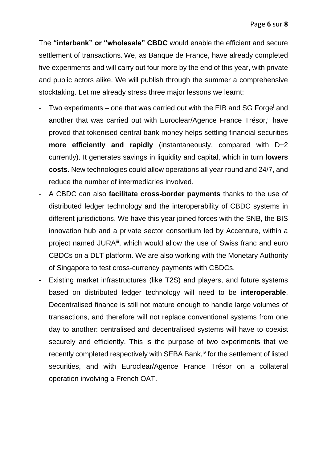The **"interbank" or "wholesale" CBDC** would enable the efficient and secure settlement of transactions. We, as Banque de France, have already completed five experiments and will carry out four more by the end of this year, with private and public actors alike. We will publish through the summer a comprehensive stocktaking. Let me already stress three major lessons we learnt:

- Two experiments one that was carried out with the EIB and SG Forge<sup>i</sup> and another that was carried out with Euroclear/Agence France Trésor,<sup>ii</sup> have proved that tokenised central bank money helps settling financial securities **more efficiently and rapidly** (instantaneously, compared with D+2 currently). It generates savings in liquidity and capital, which in turn **lowers costs**. New technologies could allow operations all year round and 24/7, and reduce the number of intermediaries involved.
- A CBDC can also **facilitate cross-border payments** thanks to the use of distributed ledger technology and the interoperability of CBDC systems in different jurisdictions. We have this year joined forces with the SNB, the BIS innovation hub and a private sector consortium led by Accenture, within a project named JURA<sup>iii</sup>, which would allow the use of Swiss franc and euro CBDCs on a DLT platform. We are also working with the Monetary Authority of Singapore to test cross-currency payments with CBDCs.
- Existing market infrastructures (like T2S) and players, and future systems based on distributed ledger technology will need to be **interoperable**. Decentralised finance is still not mature enough to handle large volumes of transactions, and therefore will not replace conventional systems from one day to another: centralised and decentralised systems will have to coexist securely and efficiently. This is the purpose of two experiments that we recently completed respectively with SEBA Bank,<sup>iv</sup> for the settlement of listed securities, and with Euroclear/Agence France Trésor on a collateral operation involving a French OAT.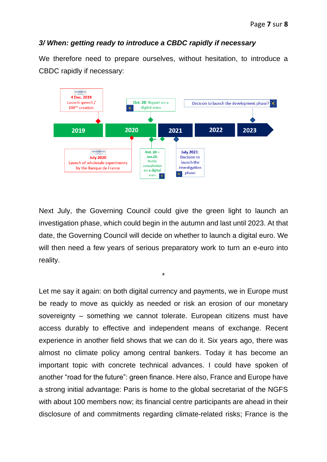### *3/ When: getting ready to introduce a CBDC rapidly if necessary*

We therefore need to prepare ourselves, without hesitation, to introduce a CBDC rapidly if necessary:



Next July, the Governing Council could give the green light to launch an investigation phase, which could begin in the autumn and last until 2023. At that date, the Governing Council will decide on whether to launch a digital euro. We will then need a few years of serious preparatory work to turn an e-euro into reality.

\*

Let me say it again: on both digital currency and payments, we in Europe must be ready to move as quickly as needed or risk an erosion of our monetary sovereignty – something we cannot tolerate. European citizens must have access durably to effective and independent means of exchange. Recent experience in another field shows that we can do it. Six years ago, there was almost no climate policy among central bankers. Today it has become an important topic with concrete technical advances. I could have spoken of another "road for the future": green finance. Here also, France and Europe have a strong initial advantage: Paris is home to the global secretariat of the NGFS with about 100 members now; its financial centre participants are ahead in their disclosure of and commitments regarding climate-related risks; France is the